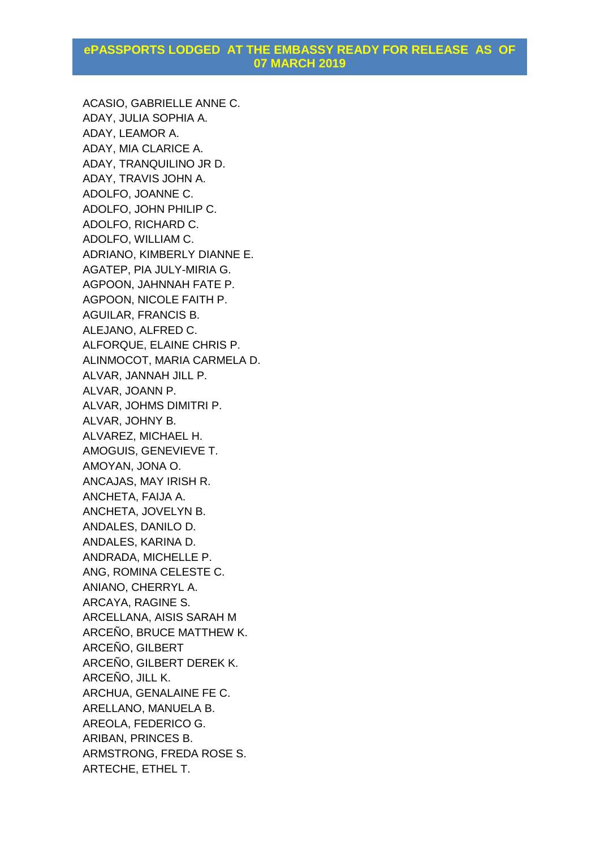ACASIO, GABRIELLE ANNE C. ADAY, JULIA SOPHIA A. ADAY, LEAMOR A. ADAY, MIA CLARICE A. ADAY, TRANQUILINO JR D. ADAY, TRAVIS JOHN A. ADOLFO, JOANNE C. ADOLFO, JOHN PHILIP C. ADOLFO, RICHARD C. ADOLFO, WILLIAM C. ADRIANO, KIMBERLY DIANNE E. AGATEP, PIA JULY-MIRIA G. AGPOON, JAHNNAH FATE P. AGPOON, NICOLE FAITH P. AGUILAR, FRANCIS B. ALEJANO, ALFRED C. ALFORQUE, ELAINE CHRIS P. ALINMOCOT, MARIA CARMELA D. ALVAR, JANNAH JILL P. ALVAR, JOANN P. ALVAR, JOHMS DIMITRI P. ALVAR, JOHNY B. ALVAREZ, MICHAEL H. AMOGUIS, GENEVIEVE T. AMOYAN, JONA O. ANCAJAS, MAY IRISH R. ANCHETA, FAIJA A. ANCHETA, JOVELYN B. ANDALES, DANILO D. ANDALES, KARINA D. ANDRADA, MICHELLE P. ANG, ROMINA CELESTE C. ANIANO, CHERRYL A. ARCAYA, RAGINE S. ARCELLANA, AISIS SARAH M ARCEÑO, BRUCE MATTHEW K. ARCEÑO, GILBERT ARCEÑO, GILBERT DEREK K. ARCEÑO, JILL K. ARCHUA, GENALAINE FE C. ARELLANO, MANUELA B. AREOLA, FEDERICO G. ARIBAN, PRINCES B. ARMSTRONG, FREDA ROSE S. ARTECHE, ETHEL T.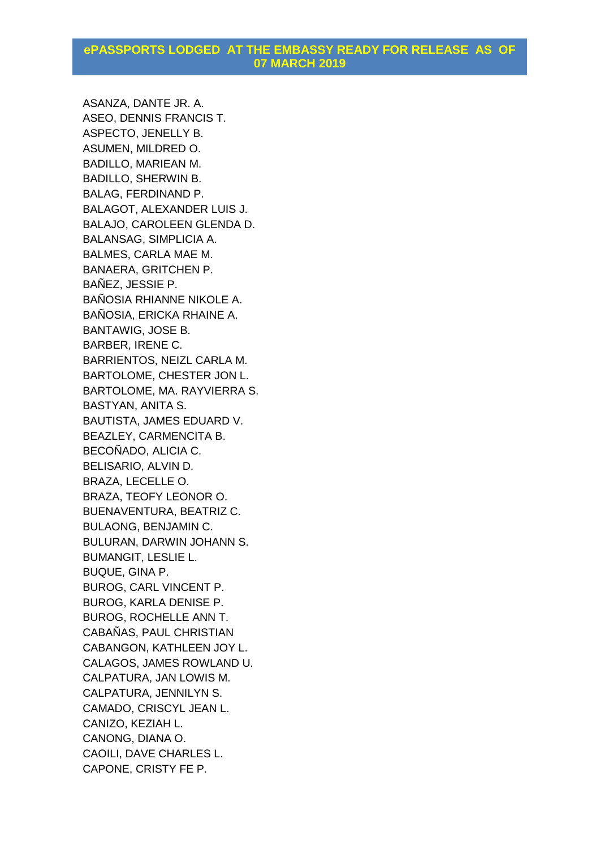ASANZA, DANTE JR. A. ASEO, DENNIS FRANCIS T. ASPECTO, JENELLY B. ASUMEN, MILDRED O. BADILLO, MARIEAN M. BADILLO, SHERWIN B. BALAG, FERDINAND P. BALAGOT, ALEXANDER LUIS J. BALAJO, CAROLEEN GLENDA D. BALANSAG, SIMPLICIA A. BALMES, CARLA MAE M. BANAERA, GRITCHEN P. BAÑEZ, JESSIE P. BAÑOSIA RHIANNE NIKOLE A. BAÑOSIA, ERICKA RHAINE A. BANTAWIG, JOSE B. BARBER, IRENE C. BARRIENTOS, NEIZL CARLA M. BARTOLOME, CHESTER JON L. BARTOLOME, MA. RAYVIERRA S. BASTYAN, ANITA S. BAUTISTA, JAMES EDUARD V. BEAZLEY, CARMENCITA B. BECOÑADO, ALICIA C. BELISARIO, ALVIN D. BRAZA, LECELLE O. BRAZA, TEOFY LEONOR O. BUENAVENTURA, BEATRIZ C. BULAONG, BENJAMIN C. BULURAN, DARWIN JOHANN S. BUMANGIT, LESLIE L. BUQUE, GINA P. BUROG, CARL VINCENT P. BUROG, KARLA DENISE P. BUROG, ROCHELLE ANN T. CABAÑAS, PAUL CHRISTIAN CABANGON, KATHLEEN JOY L. CALAGOS, JAMES ROWLAND U. CALPATURA, JAN LOWIS M. CALPATURA, JENNILYN S. CAMADO, CRISCYL JEAN L. CANIZO, KEZIAH L. CANONG, DIANA O. CAOILI, DAVE CHARLES L. CAPONE, CRISTY FE P.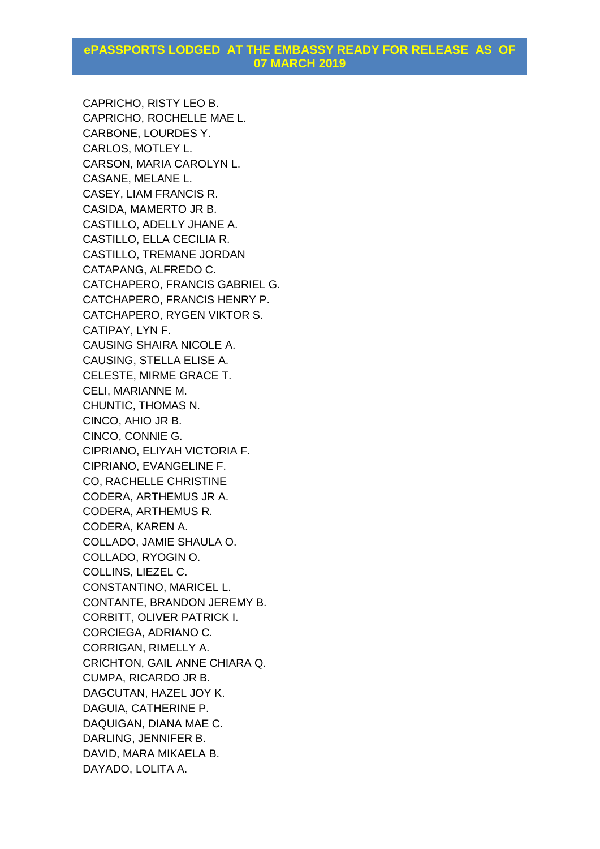CAPRICHO, RISTY LEO B. CAPRICHO, ROCHELLE MAE L. CARBONE, LOURDES Y. CARLOS, MOTLEY L. CARSON, MARIA CAROLYN L. CASANE, MELANE L. CASEY, LIAM FRANCIS R. CASIDA, MAMERTO JR B. CASTILLO, ADELLY JHANE A. CASTILLO, ELLA CECILIA R. CASTILLO, TREMANE JORDAN CATAPANG, ALFREDO C. CATCHAPERO, FRANCIS GABRIEL G. CATCHAPERO, FRANCIS HENRY P. CATCHAPERO, RYGEN VIKTOR S. CATIPAY, LYN F. CAUSING SHAIRA NICOLE A. CAUSING, STELLA ELISE A. CELESTE, MIRME GRACE T. CELI, MARIANNE M. CHUNTIC, THOMAS N. CINCO, AHIO JR B. CINCO, CONNIE G. CIPRIANO, ELIYAH VICTORIA F. CIPRIANO, EVANGELINE F. CO, RACHELLE CHRISTINE CODERA, ARTHEMUS JR A. CODERA, ARTHEMUS R. CODERA, KAREN A. COLLADO, JAMIE SHAULA O. COLLADO, RYOGIN O. COLLINS, LIEZEL C. CONSTANTINO, MARICEL L. CONTANTE, BRANDON JEREMY B. CORBITT, OLIVER PATRICK I. CORCIEGA, ADRIANO C. CORRIGAN, RIMELLY A. CRICHTON, GAIL ANNE CHIARA Q. CUMPA, RICARDO JR B. DAGCUTAN, HAZEL JOY K. DAGUIA, CATHERINE P. DAQUIGAN, DIANA MAE C. DARLING, JENNIFER B. DAVID, MARA MIKAELA B. DAYADO, LOLITA A.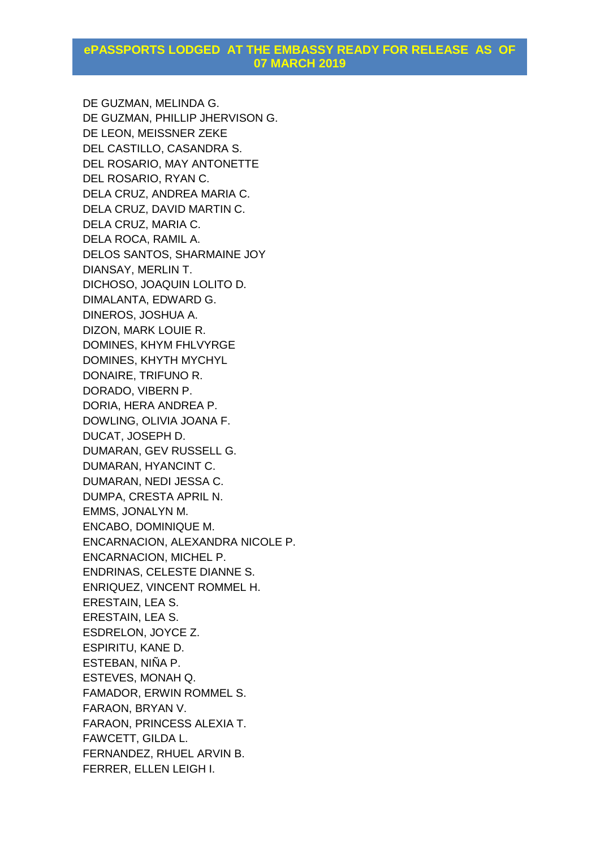DE GUZMAN, MELINDA G. DE GUZMAN, PHILLIP JHERVISON G. DE LEON, MEISSNER ZEKE DEL CASTILLO, CASANDRA S. DEL ROSARIO, MAY ANTONETTE DEL ROSARIO, RYAN C. DELA CRUZ, ANDREA MARIA C. DELA CRUZ, DAVID MARTIN C. DELA CRUZ, MARIA C. DELA ROCA, RAMIL A. DELOS SANTOS, SHARMAINE JOY DIANSAY, MERLIN T. DICHOSO, JOAQUIN LOLITO D. DIMALANTA, EDWARD G. DINEROS, JOSHUA A. DIZON, MARK LOUIE R. DOMINES, KHYM FHLVYRGE DOMINES, KHYTH MYCHYL DONAIRE, TRIFUNO R. DORADO, VIBERN P. DORIA, HERA ANDREA P. DOWLING, OLIVIA JOANA F. DUCAT, JOSEPH D. DUMARAN, GEV RUSSELL G. DUMARAN, HYANCINT C. DUMARAN, NEDI JESSA C. DUMPA, CRESTA APRIL N. EMMS, JONALYN M. ENCABO, DOMINIQUE M. ENCARNACION, ALEXANDRA NICOLE P. ENCARNACION, MICHEL P. ENDRINAS, CELESTE DIANNE S. ENRIQUEZ, VINCENT ROMMEL H. ERESTAIN, LEA S. ERESTAIN, LEA S. ESDRELON, JOYCE Z. ESPIRITU, KANE D. ESTEBAN, NIÑA P. ESTEVES, MONAH Q. FAMADOR, ERWIN ROMMEL S. FARAON, BRYAN V. FARAON, PRINCESS ALEXIA T. FAWCETT, GILDA L. FERNANDEZ, RHUEL ARVIN B. FERRER, ELLEN LEIGH I.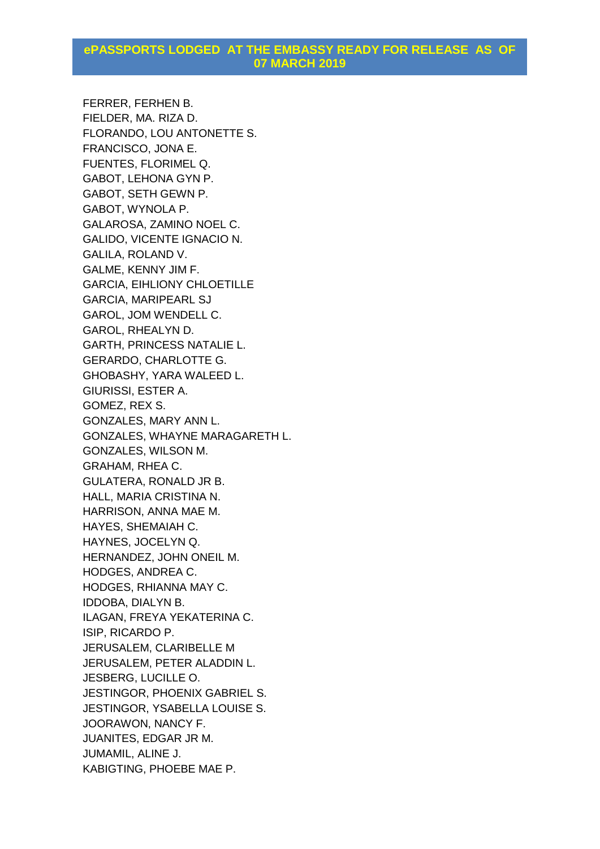FERRER, FERHEN B. FIELDER, MA. RIZA D. FLORANDO, LOU ANTONETTE S. FRANCISCO, JONA E. FUENTES, FLORIMEL Q. GABOT, LEHONA GYN P. GABOT, SETH GEWN P. GABOT, WYNOLA P. GALAROSA, ZAMINO NOEL C. GALIDO, VICENTE IGNACIO N. GALILA, ROLAND V. GALME, KENNY JIM F. GARCIA, EIHLIONY CHLOETILLE GARCIA, MARIPEARL SJ GAROL, JOM WENDELL C. GAROL, RHEALYN D. GARTH, PRINCESS NATALIE L. GERARDO, CHARLOTTE G. GHOBASHY, YARA WALEED L. GIURISSI, ESTER A. GOMEZ, REX S. GONZALES, MARY ANN L. GONZALES, WHAYNE MARAGARETH L. GONZALES, WILSON M. GRAHAM, RHEA C. GULATERA, RONALD JR B. HALL, MARIA CRISTINA N. HARRISON, ANNA MAE M. HAYES, SHEMAIAH C. HAYNES, JOCELYN Q. HERNANDEZ, JOHN ONEIL M. HODGES, ANDREA C. HODGES, RHIANNA MAY C. IDDOBA, DIALYN B. ILAGAN, FREYA YEKATERINA C. ISIP, RICARDO P. JERUSALEM, CLARIBELLE M JERUSALEM, PETER ALADDIN L. JESBERG, LUCILLE O. JESTINGOR, PHOENIX GABRIEL S. JESTINGOR, YSABELLA LOUISE S. JOORAWON, NANCY F. JUANITES, EDGAR JR M. JUMAMIL, ALINE J. KABIGTING, PHOEBE MAE P.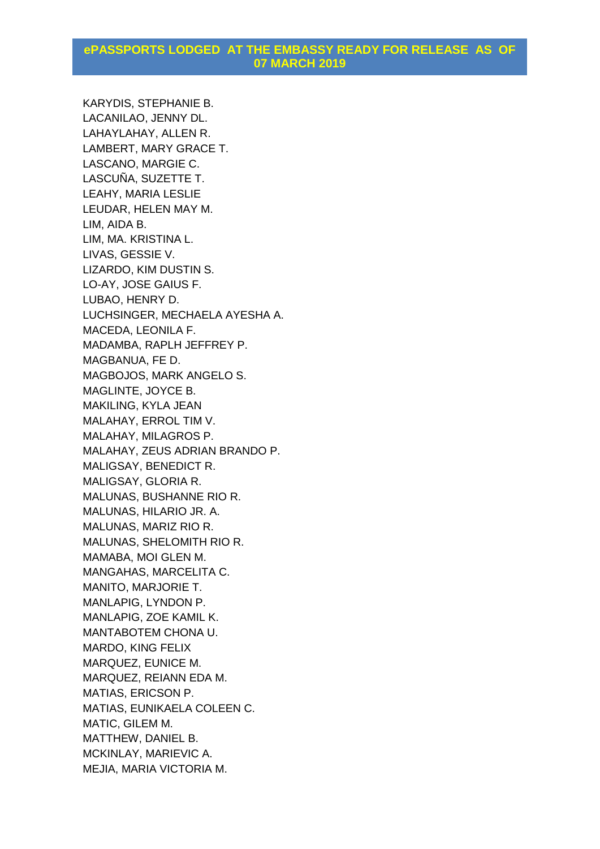KARYDIS, STEPHANIE B. LACANILAO, JENNY DL. LAHAYLAHAY, ALLEN R. LAMBERT, MARY GRACE T. LASCANO, MARGIE C. LASCUÑA, SUZETTE T. LEAHY, MARIA LESLIE LEUDAR, HELEN MAY M. LIM, AIDA B. LIM, MA. KRISTINA L. LIVAS, GESSIE V. LIZARDO, KIM DUSTIN S. LO-AY, JOSE GAIUS F. LUBAO, HENRY D. LUCHSINGER, MECHAELA AYESHA A. MACEDA, LEONILA F. MADAMBA, RAPLH JEFFREY P. MAGBANUA, FE D. MAGBOJOS, MARK ANGELO S. MAGLINTE, JOYCE B. MAKILING, KYLA JEAN MALAHAY, ERROL TIM V. MALAHAY, MILAGROS P. MALAHAY, ZEUS ADRIAN BRANDO P. MALIGSAY, BENEDICT R. MALIGSAY, GLORIA R. MALUNAS, BUSHANNE RIO R. MALUNAS, HILARIO JR. A. MALUNAS, MARIZ RIO R. MALUNAS, SHELOMITH RIO R. MAMABA, MOI GLEN M. MANGAHAS, MARCELITA C. MANITO, MARJORIE T. MANLAPIG, LYNDON P. MANLAPIG, ZOE KAMIL K. MANTABOTEM CHONA U. MARDO, KING FELIX MARQUEZ, EUNICE M. MARQUEZ, REIANN EDA M. MATIAS, ERICSON P. MATIAS, EUNIKAELA COLEEN C. MATIC, GILEM M. MATTHEW, DANIEL B. MCKINLAY, MARIEVIC A. MEJIA, MARIA VICTORIA M.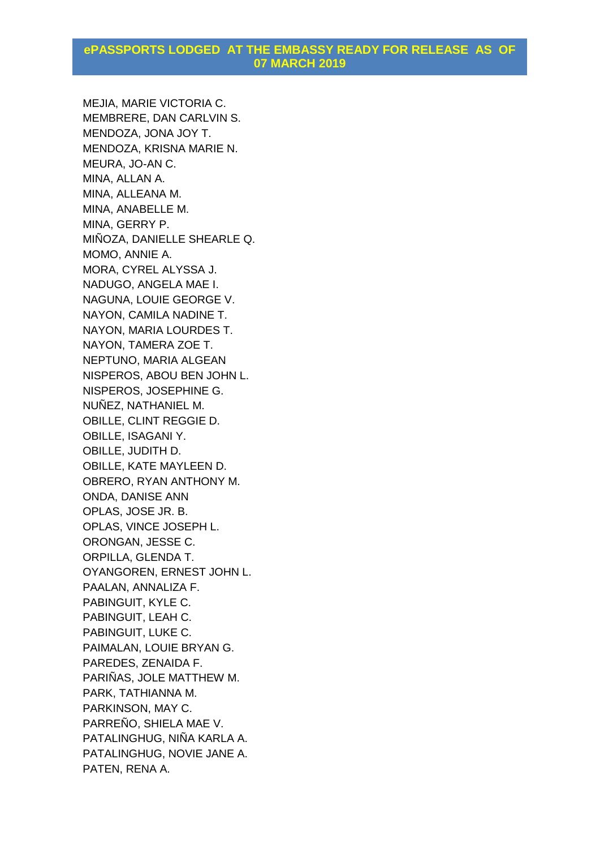MEJIA, MARIE VICTORIA C. MEMBRERE, DAN CARLVIN S. MENDOZA, JONA JOY T. MENDOZA, KRISNA MARIE N. MEURA, JO-AN C. MINA, ALLAN A. MINA, ALLEANA M. MINA, ANABELLE M. MINA, GERRY P. MIÑOZA, DANIELLE SHEARLE Q. MOMO, ANNIE A. MORA, CYREL ALYSSA J. NADUGO, ANGELA MAE I. NAGUNA, LOUIE GEORGE V. NAYON, CAMILA NADINE T. NAYON, MARIA LOURDES T. NAYON, TAMERA ZOE T. NEPTUNO, MARIA ALGEAN NISPEROS, ABOU BEN JOHN L. NISPEROS, JOSEPHINE G. NUÑEZ, NATHANIEL M. OBILLE, CLINT REGGIE D. OBILLE, ISAGANI Y. OBILLE, JUDITH D. OBILLE, KATE MAYLEEN D. OBRERO, RYAN ANTHONY M. ONDA, DANISE ANN OPLAS, JOSE JR. B. OPLAS, VINCE JOSEPH L. ORONGAN, JESSE C. ORPILLA, GLENDA T. OYANGOREN, ERNEST JOHN L. PAALAN, ANNALIZA F. PABINGUIT, KYLE C. PABINGUIT, LEAH C. PABINGUIT, LUKE C. PAIMALAN, LOUIE BRYAN G. PAREDES, ZENAIDA F. PARIÑAS, JOLE MATTHEW M. PARK, TATHIANNA M. PARKINSON, MAY C. PARREÑO, SHIELA MAE V. PATALINGHUG, NIÑA KARLA A. PATALINGHUG, NOVIE JANE A. PATEN, RENA A.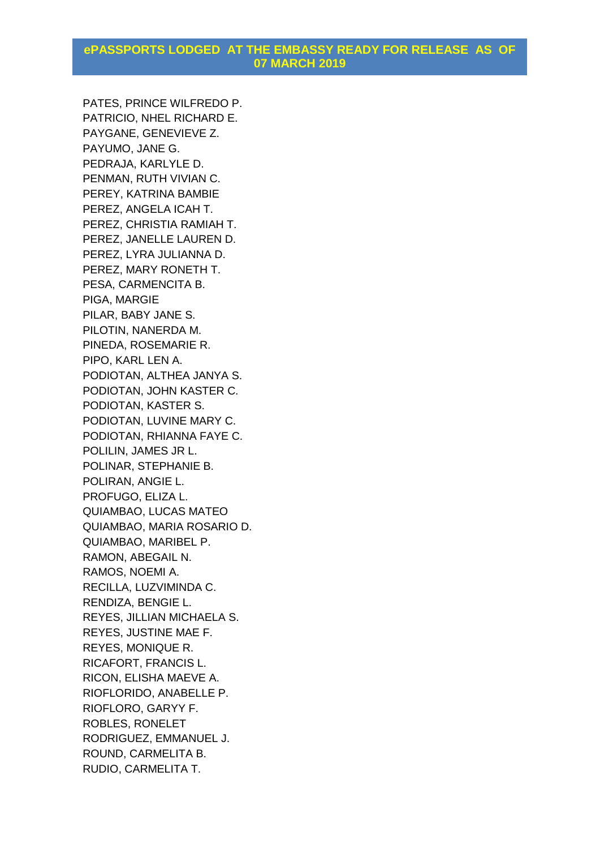PATES, PRINCE WILFREDO P. PATRICIO, NHEL RICHARD E. PAYGANE, GENEVIEVE Z. PAYUMO, JANE G. PEDRAJA, KARLYLE D. PENMAN, RUTH VIVIAN C. PEREY, KATRINA BAMBIE PEREZ, ANGELA ICAH T. PEREZ, CHRISTIA RAMIAH T. PEREZ, JANELLE LAUREN D. PEREZ, LYRA JULIANNA D. PEREZ, MARY RONETH T. PESA, CARMENCITA B. PIGA, MARGIE PILAR, BABY JANE S. PILOTIN, NANERDA M. PINEDA, ROSEMARIE R. PIPO, KARL LEN A. PODIOTAN, ALTHEA JANYA S. PODIOTAN, JOHN KASTER C. PODIOTAN, KASTER S. PODIOTAN, LUVINE MARY C. PODIOTAN, RHIANNA FAYE C. POLILIN, JAMES JR L. POLINAR, STEPHANIE B. POLIRAN, ANGIE L. PROFUGO, ELIZA L. QUIAMBAO, LUCAS MATEO QUIAMBAO, MARIA ROSARIO D. QUIAMBAO, MARIBEL P. RAMON, ABEGAIL N. RAMOS, NOEMI A. RECILLA, LUZVIMINDA C. RENDIZA, BENGIE L. REYES, JILLIAN MICHAELA S. REYES, JUSTINE MAE F. REYES, MONIQUE R. RICAFORT, FRANCIS L. RICON, ELISHA MAEVE A. RIOFLORIDO, ANABELLE P. RIOFLORO, GARYY F. ROBLES, RONELET RODRIGUEZ, EMMANUEL J. ROUND, CARMELITA B. RUDIO, CARMELITA T.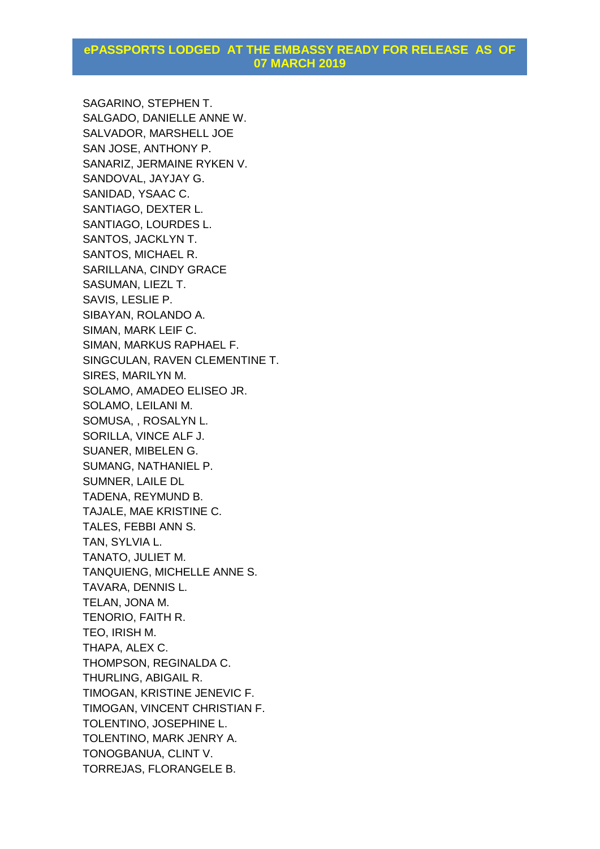SAGARINO, STEPHEN T. SALGADO, DANIELLE ANNE W. SALVADOR, MARSHELL JOE SAN JOSE, ANTHONY P. SANARIZ, JERMAINE RYKEN V. SANDOVAL, JAYJAY G. SANIDAD, YSAAC C. SANTIAGO, DEXTER L. SANTIAGO, LOURDES L. SANTOS, JACKLYN T. SANTOS, MICHAEL R. SARILLANA, CINDY GRACE SASUMAN, LIEZL T. SAVIS, LESLIE P. SIBAYAN, ROLANDO A. SIMAN, MARK LEIF C. SIMAN, MARKUS RAPHAEL F. SINGCULAN, RAVEN CLEMENTINE T. SIRES, MARILYN M. SOLAMO, AMADEO ELISEO JR. SOLAMO, LEILANI M. SOMUSA, , ROSALYN L. SORILLA, VINCE ALF J. SUANER, MIBELEN G. SUMANG, NATHANIEL P. SUMNER, LAILE DL TADENA, REYMUND B. TAJALE, MAE KRISTINE C. TALES, FEBBI ANN S. TAN, SYLVIA L. TANATO, JULIET M. TANQUIENG, MICHELLE ANNE S. TAVARA, DENNIS L. TELAN, JONA M. TENORIO, FAITH R. TEO, IRISH M. THAPA, ALEX C. THOMPSON, REGINALDA C. THURLING, ABIGAIL R. TIMOGAN, KRISTINE JENEVIC F. TIMOGAN, VINCENT CHRISTIAN F. TOLENTINO, JOSEPHINE L. TOLENTINO, MARK JENRY A. TONOGBANUA, CLINT V. TORREJAS, FLORANGELE B.